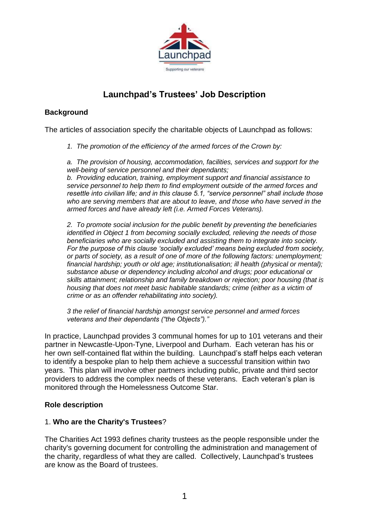

# **Launchpad's Trustees' Job Description**

# **Background**

The articles of association specify the charitable objects of Launchpad as follows:

*1. The promotion of the efficiency of the armed forces of the Crown by:*

*a. The provision of housing, accommodation, facilities, services and support for the well-being of service personnel and their dependants;*

*b. Providing education, training, employment support and financial assistance to service personnel to help them to find employment outside of the armed forces and resettle into civilian life; and in this clause 5.1, "service personnel" shall include those who are serving members that are about to leave, and those who have served in the armed forces and have already left (i.e. Armed Forces Veterans).*

*2. To promote social inclusion for the public benefit by preventing the beneficiaries identified in Object 1 from becoming socially excluded, relieving the needs of those beneficiaries who are socially excluded and assisting them to integrate into society. For the purpose of this clause 'socially excluded' means being excluded from society, or parts of society, as a result of one of more of the following factors: unemployment; financial hardship; youth or old age; institutionalisation; ill health (physical or mental); substance abuse or dependency including alcohol and drugs; poor educational or skills attainment; relationship and family breakdown or rejection; poor housing (that is housing that does not meet basic habitable standards; crime (either as a victim of crime or as an offender rehabilitating into society).*

*3 the relief of financial hardship amongst service personnel and armed forces veterans and their dependants ("the Objects")."*

In practice, Launchpad provides 3 communal homes for up to 101 veterans and their partner in Newcastle-Upon-Tyne, Liverpool and Durham. Each veteran has his or her own self-contained flat within the building. Launchpad's staff helps each veteran to identify a bespoke plan to help them achieve a successful transition within two years. This plan will involve other partners including public, private and third sector providers to address the complex needs of these veterans. Each veteran's plan is monitored through the Homelessness Outcome Star.

# **Role description**

# 1. **Who are the Charity's Trustees**?

The Charities Act 1993 defines charity trustees as the people responsible under the charity's governing document for controlling the administration and management of the charity, regardless of what they are called. Collectively, Launchpad's trustees are know as the Board of trustees.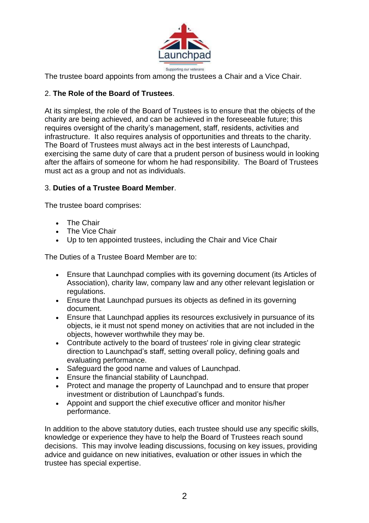

The trustee board appoints from among the trustees a Chair and a Vice Chair.

# 2. **The Role of the Board of Trustees**.

At its simplest, the role of the Board of Trustees is to ensure that the objects of the charity are being achieved, and can be achieved in the foreseeable future; this requires oversight of the charity's management, staff, residents, activities and infrastructure. It also requires analysis of opportunities and threats to the charity. The Board of Trustees must always act in the best interests of Launchpad, exercising the same duty of care that a prudent person of business would in looking after the affairs of someone for whom he had responsibility. The Board of Trustees must act as a group and not as individuals.

# 3. **Duties of a Trustee Board Member**.

The trustee board comprises:

- The Chair
- **The Vice Chair**
- Up to ten appointed trustees, including the Chair and Vice Chair

The Duties of a Trustee Board Member are to:

- Ensure that Launchpad complies with its governing document (its Articles of Association), charity law, company law and any other relevant legislation or regulations.
- Ensure that Launchpad pursues its objects as defined in its governing document.
- Ensure that Launchpad applies its resources exclusively in pursuance of its objects, ie it must not spend money on activities that are not included in the objects, however worthwhile they may be.
- Contribute actively to the board of trustees' role in giving clear strategic direction to Launchpad's staff, setting overall policy, defining goals and evaluating performance.
- Safeguard the good name and values of Launchpad.
- Ensure the financial stability of Launchpad.
- Protect and manage the property of Launchpad and to ensure that proper investment or distribution of Launchpad's funds.
- Appoint and support the chief executive officer and monitor his/her performance.

In addition to the above statutory duties, each trustee should use any specific skills, knowledge or experience they have to help the Board of Trustees reach sound decisions. This may involve leading discussions, focusing on key issues, providing advice and guidance on new initiatives, evaluation or other issues in which the trustee has special expertise.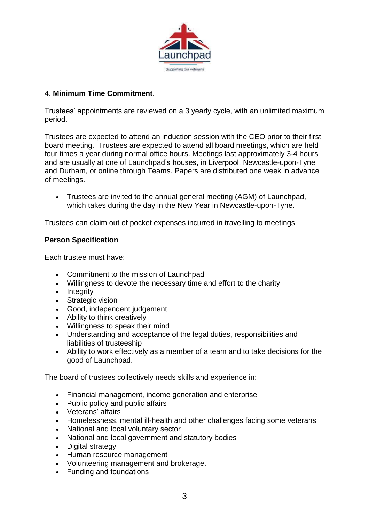

#### 4. **Minimum Time Commitment**.

Trustees' appointments are reviewed on a 3 yearly cycle, with an unlimited maximum period.

Trustees are expected to attend an induction session with the CEO prior to their first board meeting. Trustees are expected to attend all board meetings, which are held four times a year during normal office hours. Meetings last approximately 3-4 hours and are usually at one of Launchpad's houses, in Liverpool, Newcastle-upon-Tyne and Durham, or online through Teams. Papers are distributed one week in advance of meetings.

• Trustees are invited to the annual general meeting (AGM) of Launchpad, which takes during the day in the New Year in Newcastle-upon-Tyne.

Trustees can claim out of pocket expenses incurred in travelling to meetings

#### **Person Specification**

Each trustee must have:

- Commitment to the mission of Launchpad
- Willingness to devote the necessary time and effort to the charity
- Integrity
- Strategic vision
- Good, independent judgement
- Ability to think creatively
- Willingness to speak their mind
- Understanding and acceptance of the legal duties, responsibilities and liabilities of trusteeship
- Ability to work effectively as a member of a team and to take decisions for the good of Launchpad.

The board of trustees collectively needs skills and experience in:

- Financial management, income generation and enterprise
- Public policy and public affairs
- Veterans' affairs
- Homelessness, mental ill-health and other challenges facing some veterans
- National and local voluntary sector
- National and local government and statutory bodies
- Digital strategy
- Human resource management
- Volunteering management and brokerage.
- Funding and foundations